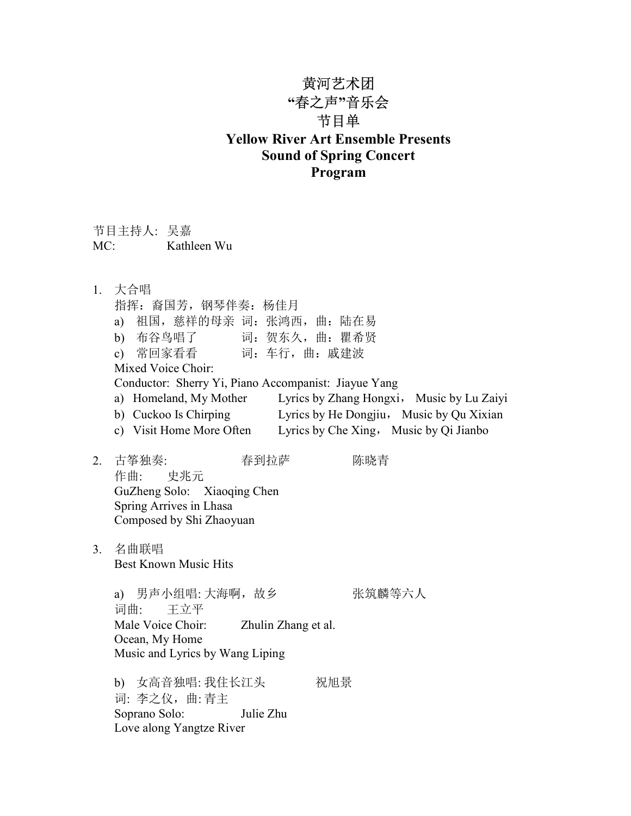## 黄河艺术团 "春之声"音乐会 节目单 Yellow River Art Ensemble Presents Sound of Spring Concert Program

| 节目主持人: 吴嘉 |             |
|-----------|-------------|
| MC:       | Kathleen Wu |

| 指挥: 裔国芳, 钢琴伴奏: 杨佳月<br>a)<br>b) 布谷鸟唱了 词: 贺东久, 曲: 瞿希贤 | 祖国, 慈祥的母亲 词: 张鸿西, 曲: 陆在易                                                                                                                                                                                                                                                                              |
|-----------------------------------------------------|-------------------------------------------------------------------------------------------------------------------------------------------------------------------------------------------------------------------------------------------------------------------------------------------------------|
|                                                     |                                                                                                                                                                                                                                                                                                       |
|                                                     |                                                                                                                                                                                                                                                                                                       |
|                                                     |                                                                                                                                                                                                                                                                                                       |
|                                                     | c) 常回家看看 词: 车行, 曲: 戚建波                                                                                                                                                                                                                                                                                |
| Mixed Voice Choir:                                  |                                                                                                                                                                                                                                                                                                       |
|                                                     | Conductor: Sherry Yi, Piano Accompanist: Jiayue Yang                                                                                                                                                                                                                                                  |
|                                                     | a) Homeland, My Mother Lyrics by Zhang Hongxi, Music by Lu Zaiyi                                                                                                                                                                                                                                      |
|                                                     | b) Cuckoo Is Chirping Lyrics by He Dongjiu, Music by Qu Xixian                                                                                                                                                                                                                                        |
|                                                     | c) Visit Home More Often Lyrics by Che Xing, Music by Qi Jianbo                                                                                                                                                                                                                                       |
| 作曲: 史兆元<br>Spring Arrives in Lhasa                  | 春到拉萨<br>陈晓青                                                                                                                                                                                                                                                                                           |
|                                                     |                                                                                                                                                                                                                                                                                                       |
| 词曲: 王立平                                             | 张筑麟等六人                                                                                                                                                                                                                                                                                                |
|                                                     |                                                                                                                                                                                                                                                                                                       |
|                                                     |                                                                                                                                                                                                                                                                                                       |
|                                                     |                                                                                                                                                                                                                                                                                                       |
| 词: 李之仪, 曲:青主                                        | 祝旭景                                                                                                                                                                                                                                                                                                   |
|                                                     | 古筝独奏:<br>GuZheng Solo: Xiaoqing Chen<br>Composed by Shi Zhaoyuan<br>名曲联唱<br><b>Best Known Music Hits</b><br>a) 男声小组唱: 大海啊, 故乡<br>Male Voice Choir: Zhulin Zhang et al.<br>Ocean, My Home<br>Music and Lyrics by Wang Liping<br>b) 女高音独唱: 我住长江头<br>Soprano Solo: Julie Zhu<br>Love along Yangtze River |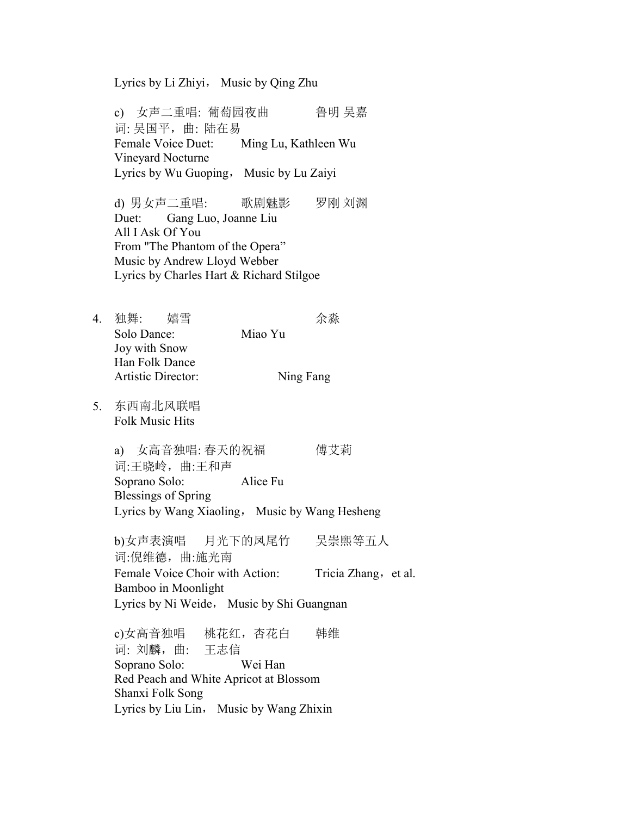Lyrics by Li Zhiyi, Music by Qing Zhu

c) 女声二重唱: 葡萄园夜曲 鲁明 吴嘉 词: 吴国平,曲: 陆在易 Female Voice Duet: Ming Lu, Kathleen Wu Vineyard Nocturne Lyrics by Wu Guoping, Music by Lu Zaiyi

d) 男女声二重唱: 歌剧魅影 罗刚 刘渊 Duet: Gang Luo, Joanne Liu All I Ask Of You From "The Phantom of the Opera" Music by Andrew Lloyd Webber Lyrics by Charles Hart & Richard Stilgoe

- 4. 独舞: 嬉雪 余淼 Solo Dance: Miao Yu Joy with Snow Han Folk Dance Artistic Director: Ning Fang
- 5. 东西南北风联唱 Folk Music Hits

a) 女高音独唱: 春天的祝福 傅艾莉 词:王晓岭,曲:王和声 Soprano Solo: Alice Fu Blessings of Spring Lyrics by Wang Xiaoling, Music by Wang Hesheng

b)女声表演唱 月光下的凤尾竹 吴崇熙等五人 词:倪维德,曲:施光南 Female Voice Choir with Action: Tricia Zhang, et al. Bamboo in Moonlight Lyrics by Ni Weide, Music by Shi Guangnan

c)女高音独唱 桃花红,杏花白 韩维 词: 刘麟,曲: 王志信 Soprano Solo: Wei Han Red Peach and White Apricot at Blossom Shanxi Folk Song Lyrics by Liu Lin, Music by Wang Zhixin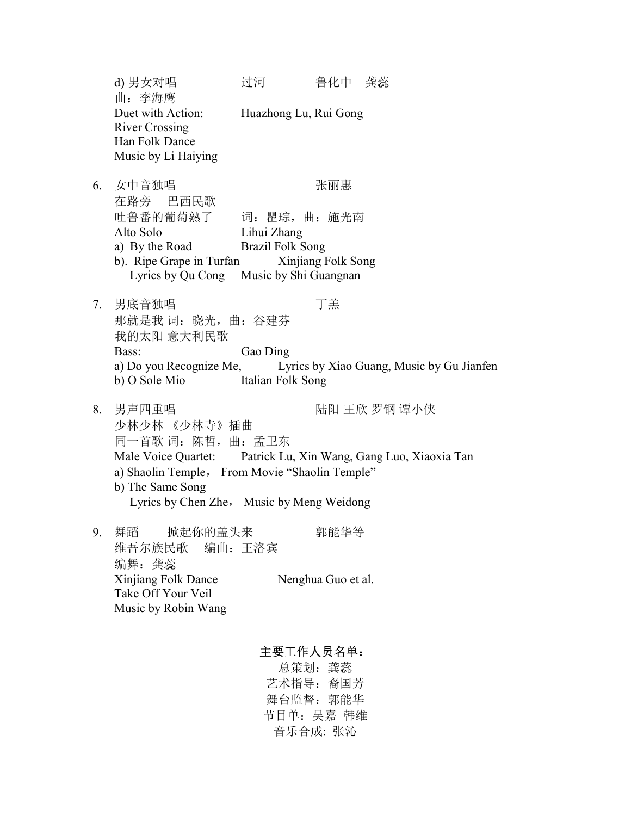d) 男女对唱 过河 鲁化中 龚蕊 曲:李海鹰 Duet with Action: Huazhong Lu, Rui Gong River Crossing Han Folk Dance Music by Li Haiying 6. 女中音独唱 不可以 不可以 不可思 在路旁 巴西民歌 吐鲁番的葡萄熟了 词:瞿琮,曲:施光南 Alto Solo Lihui Zhang a) By the Road Brazil Folk Song b). Ripe Grape in Turfan Xinjiang Folk Song Lyrics by Qu Cong Music by Shi Guangnan 7. 男底音独唱 丁羔 那就是我 词:晓光,曲:谷建芬 我的太阳 意大利民歌 Bass: Gao Ding a) Do you Recognize Me, Lyrics by Xiao Guang, Music by Gu Jianfen b) O Sole Mio Italian Folk Song 8. 男声四重唱 インスコン トラック 陆阳 王欣 罗钢 谭小侠 少林少林 《少林寺》插曲 同一首歌词:陈哲,曲:孟卫东 Male Voice Quartet: Patrick Lu, Xin Wang, Gang Luo, Xiaoxia Tan a) Shaolin Temple, From Movie "Shaolin Temple" b) The Same Song Lyrics by Chen Zhe, Music by Meng Weidong 9. 舞蹈 掀起你的盖头来 郭能华等 维吾尔族民歌 编曲:王洛宾 编舞: 龚蕊 Xinjiang Folk Dance Nenghua Guo et al. Take Off Your Veil Music by Robin Wang 主要工作人员名单:

> 总策划: 龚蕊 艺术指导: 裔国芳 舞台监督:郭能华 节目单:吴嘉 韩维 音乐合成: 张沁